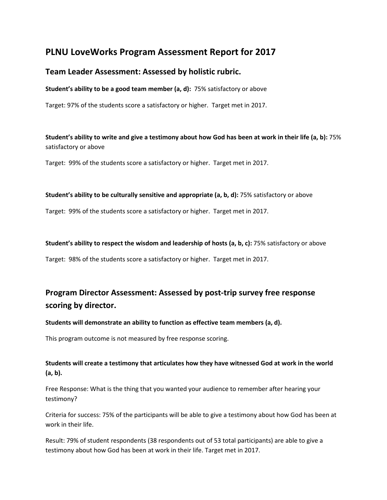# **PLNU LoveWorks Program Assessment Report for 2017**

# **Team Leader Assessment: Assessed by holistic rubric.**

**Student's ability to be a good team member (a, d):** 75% satisfactory or above

Target: 97% of the students score a satisfactory or higher. Target met in 2017.

**Student's ability to write and give a testimony about how God has been at work in their life (a, b):** 75% satisfactory or above

Target: 99% of the students score a satisfactory or higher. Target met in 2017.

#### **Student's ability to be culturally sensitive and appropriate (a, b, d):** 75% satisfactory or above

Target: 99% of the students score a satisfactory or higher. Target met in 2017.

#### **Student's ability to respect the wisdom and leadership of hosts (a, b, c):** 75% satisfactory or above

Target: 98% of the students score a satisfactory or higher. Target met in 2017.

# **Program Director Assessment: Assessed by post-trip survey free response scoring by director.**

## **Students will demonstrate an ability to function as effective team members (a, d).**

This program outcome is not measured by free response scoring.

# **Students will create a testimony that articulates how they have witnessed God at work in the world (a, b).**

Free Response: What is the thing that you wanted your audience to remember after hearing your testimony?

Criteria for success: 75% of the participants will be able to give a testimony about how God has been at work in their life.

Result: 79% of student respondents (38 respondents out of 53 total participants) are able to give a testimony about how God has been at work in their life. Target met in 2017.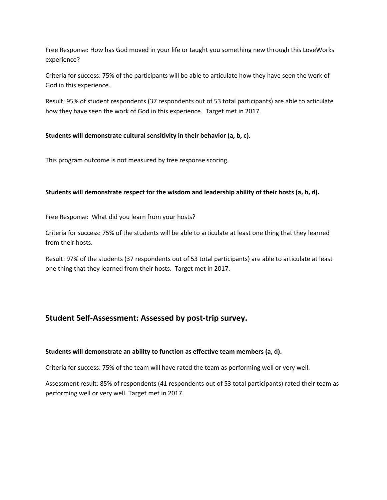Free Response: How has God moved in your life or taught you something new through this LoveWorks experience?

Criteria for success: 75% of the participants will be able to articulate how they have seen the work of God in this experience.

Result: 95% of student respondents (37 respondents out of 53 total participants) are able to articulate how they have seen the work of God in this experience. Target met in 2017.

## **Students will demonstrate cultural sensitivity in their behavior (a, b, c).**

This program outcome is not measured by free response scoring.

#### **Students will demonstrate respect for the wisdom and leadership ability of their hosts (a, b, d).**

Free Response: What did you learn from your hosts?

Criteria for success: 75% of the students will be able to articulate at least one thing that they learned from their hosts.

Result: 97% of the students (37 respondents out of 53 total participants) are able to articulate at least one thing that they learned from their hosts. Target met in 2017.

# **Student Self-Assessment: Assessed by post-trip survey.**

#### **Students will demonstrate an ability to function as effective team members (a, d).**

Criteria for success: 75% of the team will have rated the team as performing well or very well.

Assessment result: 85% of respondents (41 respondents out of 53 total participants) rated their team as performing well or very well. Target met in 2017.